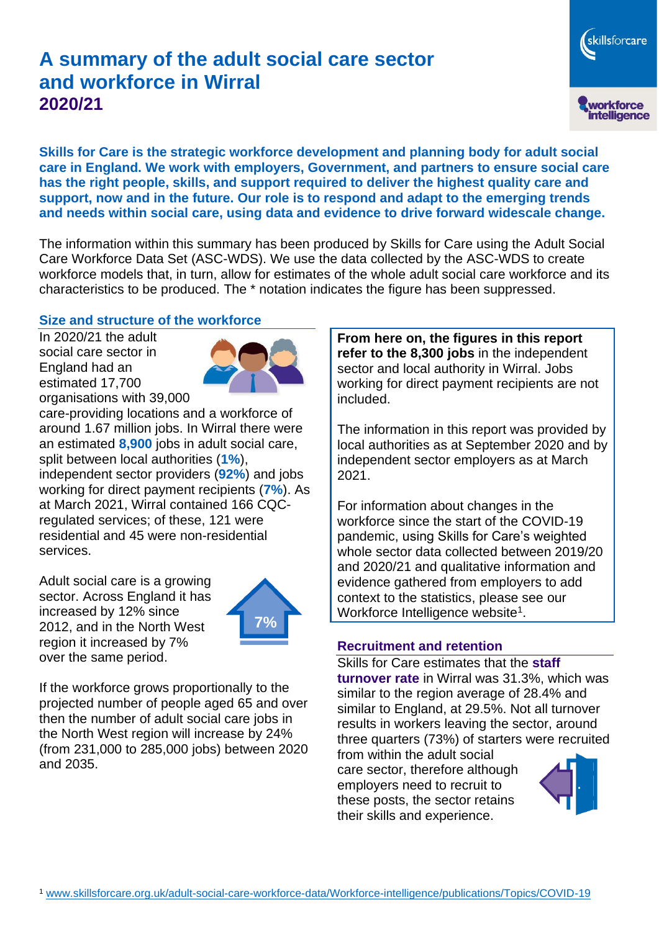# **A summary of the adult social care sector and workforce in Wirral 2020/21**

workforce<br>intelligence

skillsforcare

**Skills for Care is the strategic workforce development and planning body for adult social care in England. We work with employers, Government, and partners to ensure social care has the right people, skills, and support required to deliver the highest quality care and support, now and in the future. Our role is to respond and adapt to the emerging trends and needs within social care, using data and evidence to drive forward widescale change.**

The information within this summary has been produced by Skills for Care using the Adult Social Care Workforce Data Set (ASC-WDS). We use the data collected by the ASC-WDS to create workforce models that, in turn, allow for estimates of the whole adult social care workforce and its characteristics to be produced. The \* notation indicates the figure has been suppressed.

#### **Size and structure of the workforce**

In 2020/21 the adult social care sector in England had an estimated 17,700 organisations with 39,000



care-providing locations and a workforce of around 1.67 million jobs. In Wirral there were an estimated **8,900** jobs in adult social care, split between local authorities (**1%**), independent sector providers (**92%**) and jobs working for direct payment recipients (**7%**). As at March 2021, Wirral contained 166 CQCregulated services; of these, 121 were residential and 45 were non-residential services.

Adult social care is a growing sector. Across England it has increased by 12% since 2012, and in the North West region it increased by 7% over the same period.



If the workforce grows proportionally to the projected number of people aged 65 and over then the number of adult social care jobs in the North West region will increase by 24% (from 231,000 to 285,000 jobs) between 2020 and 2035.

**From here on, the figures in this report refer to the 8,300 jobs** in the independent sector and local authority in Wirral. Jobs working for direct payment recipients are not included.

The information in this report was provided by local authorities as at September 2020 and by independent sector employers as at March 2021.

For information about changes in the workforce since the start of the COVID-19 pandemic, using Skills for Care's weighted whole sector data collected between 2019/20 and 2020/21 and qualitative information and evidence gathered from employers to add context to the statistics, please see our Workforce Intelligence website<sup>1</sup>.

#### **Recruitment and retention**

Skills for Care estimates that the **staff turnover rate** in Wirral was 31.3%, which was similar to the region average of 28.4% and similar to England, at 29.5%. Not all turnover results in workers leaving the sector, around three quarters (73%) of starters were recruited

from within the adult social care sector, therefore although employers need to recruit to these posts, the sector retains their skills and experience.

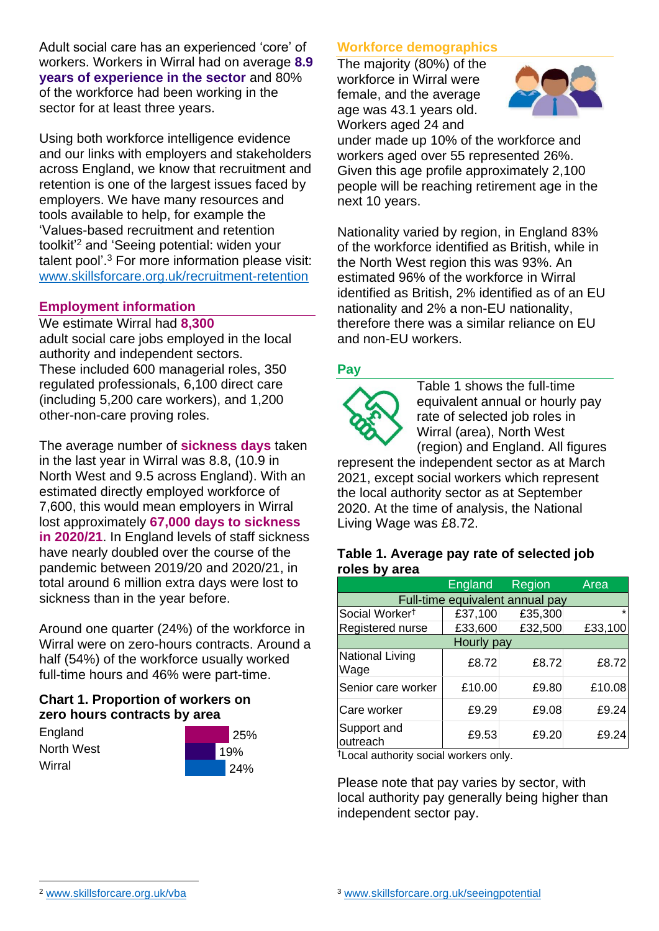Adult social care has an experienced 'core' of workers. Workers in Wirral had on average **8.9 years of experience in the sector** and 80% of the workforce had been working in the sector for at least three years.

Using both workforce intelligence evidence and our links with employers and stakeholders across England, we know that recruitment and retention is one of the largest issues faced by employers. We have many resources and tools available to help, for example the 'Values-based recruitment and retention toolkit'<sup>2</sup> and 'Seeing potential: widen your talent pool'. <sup>3</sup> For more information please visit: [www.skillsforcare.org.uk/recruitment-retention](http://www.skillsforcare.org.uk/recruitment-retention)

## **Employment information**

We estimate Wirral had **8,300** adult social care jobs employed in the local authority and independent sectors. These included 600 managerial roles, 350 regulated professionals, 6,100 direct care (including 5,200 care workers), and 1,200 other-non-care proving roles.

The average number of **sickness days** taken in the last year in Wirral was 8.8, (10.9 in North West and 9.5 across England). With an estimated directly employed workforce of 7,600, this would mean employers in Wirral lost approximately **67,000 days to sickness in 2020/21**. In England levels of staff sickness have nearly doubled over the course of the pandemic between 2019/20 and 2020/21, in total around 6 million extra days were lost to sickness than in the year before.

Around one quarter (24%) of the workforce in Wirral were on zero-hours contracts. Around a half (54%) of the workforce usually worked full-time hours and 46% were part-time.

# **Chart 1. Proportion of workers on zero hours contracts by area**

**England** North West **Wirral** 



# **Workforce demographics**

The majority (80%) of the workforce in Wirral were female, and the average age was 43.1 years old. Workers aged 24 and



under made up 10% of the workforce and workers aged over 55 represented 26%. Given this age profile approximately 2,100 people will be reaching retirement age in the next 10 years.

Nationality varied by region, in England 83% of the workforce identified as British, while in the North West region this was 93%. An estimated 96% of the workforce in Wirral identified as British, 2% identified as of an EU nationality and 2% a non-EU nationality, therefore there was a similar reliance on EU and non-EU workers.

# **Pay**



Table 1 shows the full-time equivalent annual or hourly pay rate of selected job roles in Wirral (area), North West (region) and England. All figures

represent the independent sector as at March 2021, except social workers which represent the local authority sector as at September 2020. At the time of analysis, the National Living Wage was £8.72.

#### **Table 1. Average pay rate of selected job roles by area**

|                                 | England | <b>Region</b> | Area    |
|---------------------------------|---------|---------------|---------|
| Full-time equivalent annual pay |         |               |         |
| Social Worker <sup>t</sup>      | £37,100 | £35,300       | $\star$ |
| Registered nurse                | £33,600 | £32,500       | £33,100 |
| Hourly pay                      |         |               |         |
| National Living<br>Wage         | £8.72   | £8.72         | £8.72   |
| Senior care worker              | £10.00  | £9.80         | £10.08  |
| Care worker                     | £9.29   | £9.08         | £9.24   |
| Support and<br>outreach         | £9.53   | £9.20         | £9.24   |

†Local authority social workers only.

Please note that pay varies by sector, with local authority pay generally being higher than independent sector pay.

[www.skillsforcare.org.uk/vba](http://www.skillsforcare.org.uk/vba)